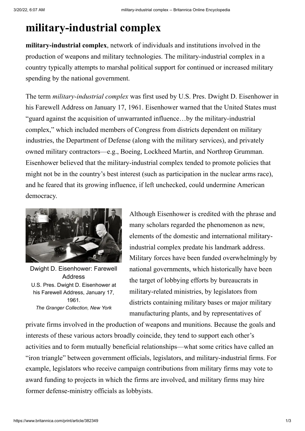## **military-industrial complex**

**military-industrial complex**, network of individuals and institutions involved in the production of weapons and military technologies. The military-industrial complex in a country typically attempts to marshal political support for continued or increased military spending by the national government.

The term *military-industrial complex* was first used by U.S. Pres. [Dwight D. Eisenhower](https://www.britannica.com/) in his [Farewell Address](https://www.britannica.com/) on January 17, 1961. Eisenhower warned that the United States must "guard against the acquisition of unwarranted influence…by the military-industrial complex," which included members of Congress from districts dependent on military industries, the Department of Defense (along with the military services), and privately owned military contractors—e.g., [Boeing](https://www.britannica.com/), [Lockheed Martin](https://www.britannica.com/), and [Northrop Grumman](https://www.britannica.com/). Eisenhower believed that the military-industrial complex tended to promote policies that might not be in the country's best interest (such as participation in the nuclear arms race), and he feared that its growing influence, if left unchecked, could undermine American democracy.



[Dwight D. Eisenhower: Farewell](https://cdn.britannica.com/16/84516-004-993882BF/Dwight-D-Eisenhower-Farewell-Address-January-17-1961.jpg) Address U.S. Pres. Dwight D. Eisenhower at his Farewell Address, January 17, 1961. *The Granger Collection, New York*

Although Eisenhower is credited with the phrase and many scholars regarded the phenomenon as new, elements of the domestic and international militaryindustrial complex predate his landmark address. Military forces have been funded overwhelmingly by national governments, which historically have been the target of [lobbying](https://www.britannica.com/) efforts by bureaucrats in military-related ministries, by legislators from districts containing military bases or major military manufacturing plants, and by representatives of

private firms involved in the production of weapons and munitions. Because the goals and interests of these various actors broadly coincide, they tend to support each other's activities and to form mutually beneficial relationships—what some critics have called an "iron triangle" between government officials, legislators, and military-industrial firms. For example, legislators who receive campaign contributions from military firms may vote to award funding to projects in which the firms are involved, and military firms may hire former defense-ministry officials as lobbyists.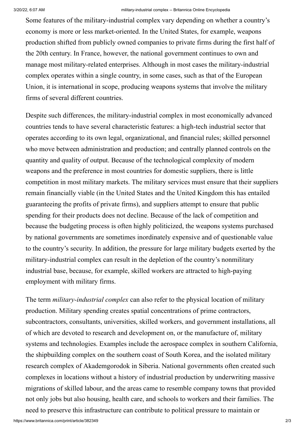Some features of the military-industrial complex vary depending on whether a country's economy is more or less market-oriented. In the United States, for example, weapons production shifted from publicly owned companies to private firms during the first half of the 20th century. In France, however, the national government continues to own and manage most military-related enterprises. Although in most cases the military-industrial complex operates within a single country, in some cases, such as that of the European [Union, it is international in scope, producing weapons systems that involve the militar](https://www.britannica.com/)y firms of several different countries.

Despite such differences, the military-industrial complex in most economically advanced countries tends to have several characteristic features: a high-tech industrial sector that operates according to its own legal, organizational, and financial rules; skilled personnel who move between administration and production; and centrally planned controls on the quantity and quality of output. Because of the technological complexity of modern weapons and the preference in most countries for domestic suppliers, there is little competition in most military markets. The military services must ensure that their suppliers remain financially viable (in the United States and the United Kingdom this has entailed guaranteeing the profits of private firms), and suppliers attempt to ensure that public spending for their products does not decline. Because of the lack of competition and because the [budgeting process](https://www.britannica.com/) is often highly politicized, the weapons systems purchased by national governments are sometimes inordinately expensive and of questionable value to the country's security. In addition, the pressure for large military budgets exerted by the military-industrial complex can result in the depletion of the country's nonmilitary industrial base, because, for example, skilled workers are attracted to high-paying employment with military firms.

The term *military-industrial complex* can also refer to the physical location of military production. Military spending creates spatial concentrations of prime contractors, subcontractors, consultants, universities, skilled workers, and government installations, all of which are devoted to research and development on, or the manufacture of, military systems and technologies. Examples include the aerospace complex in southern California, the shipbuilding complex on the southern coast of South Korea, and the isolated military research complex of [Akademgorodok](https://www.britannica.com/) in Siberia. National governments often created such complexes in locations without a history of industrial production by underwriting massive migrations of skilled labour, and the areas came to resemble company towns that provided not only jobs but also housing, health care, and schools to workers and their families. The need to preserve this infrastructure can contribute to political pressure to maintain or